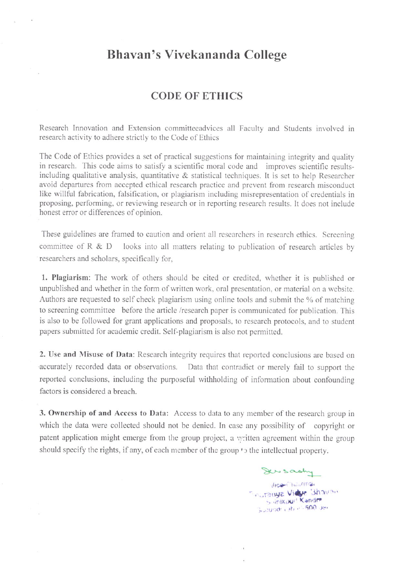# Bhavan's Vivekananda College

# CODE OF ETHICS

Research Innovation and Extension committeeadvices all Faculty and Students involved in research activity to adhere strictly to the Code of Ethics

The Code of Ethics provides a set of practical suggestions for maintaining integrity and quality in research. This code aims to satisfy a scientific moral code and improves scientific resultsincluding qualitative analysis, quantitative & statistical techniques. It is set to help Researcher avoid departures from accepted ethical research practice and prevent from research misconduct like willful fabrication, falsification, or plagiarism including misrepresentation of credentials in proposing, performing, or reviewing research or in reporting research results. It does not include honest error or differences of opinion.

These guidelines are fiamed to caution and orient all researchers in research ethics. Screening committee of  $R \& D$  looks into all matters relating to publication of research articles by researchers and scholars, specifically for,

1. Plagiarism: The work of others should be cited or credited, whether it is published or unpublished and whether in the form of written work, oral presentation, or material on a website. Authors are requested to self check plagiarism using online tools and submit the % of matching to screening committee before the article /research paper is communicated for publication. This is also to be followed for grant applications and proposals, to research protocols, and to student papers submitted for academic credit. Self-plagiarism is also rot permitted.

2. Use and Misuse of Data: Research integrity requires that reported conclusions are based on accurately recorded data or observations. Data that contradict or merely fail to support the reported conclusions, including the purposeful withholding of information about confounding factors is considered a breach.

3. Ownership of and Access to Data: Access to data to any member of the research group in which the data were collected should not be denied. In case any possibility of copyright or patent application might emerge from the group project, a written agreement within the group should specify the rights, if any, of each member of the group  $\cdot$  the intellectual property.

> Jice-Chairmai nuranya Vidye 3havan 5. Jinikuur! Kandra  $\mathfrak{z}_{\mathrm{c},\mathrm{C}\mathrm{U}\cap \mathfrak{S}'}$  , ab el 500 de

>L-sa-A,t:-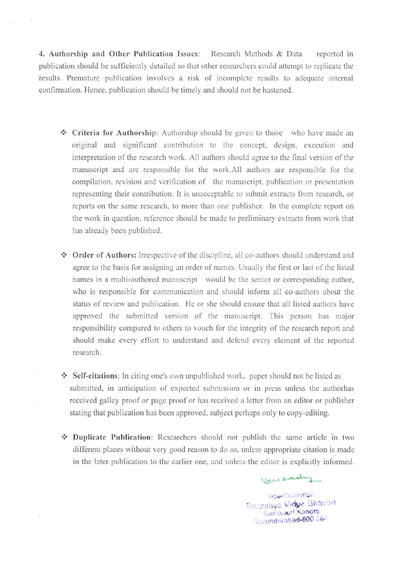4. Authorship and Other Publication Issues: Research Methods  $& Data$  reported in publication should be sufficiently detailed so that other researchers could attempt to replicate the results. Premature publication involves a risk of incomplete results to adequate internal confirmation. Hence, publication should be timcly and should not be hastened.

- .!. Criteria for Authorship: Authorship should be given to those who have made an original and significant contribution to the concept, design, execution and interpretation of the research work. All authors should agree to the final version of the manuscript and are responsible for the work.All authors are responsible for the compilation, revision and verification of the manuscript, publication or presentation representing their contribution. It is unacceptable to submit extracts from research, or reports on the same research, to more than one publisher. In the complete report on the work in question, reference should be made to preliminary extracts from work that has already been published.
- $\cdot$  Order of Authors: Irrespective of the discipline, all co-authors should understand and agree to the basis for assigning an order of names. Usually the first or last of the listed names in a multi-authored manuscript would be the senior or corresponding author, who is responsible for communication and should inform all co-authors about the status of review and publication. He or she should cnsure that all listed authors have approved the submitted version of the manuscript. This person has major responsibility compared to others to vouch for the integrity of the research report and should make every effort to understand and defend every element of the reported research.
- $\cdot$  Self-citations: In citing one's own unpublished work, paper should not be listed as submilted, in anticipation of expected submission or in press unless the authorhas received galley proof or page proof or has received a letter from an editor or publisher stating that publication has been approved, subject perhaps only to copy-editing.
- \* Duplicate Publication: Researchers should not publish the same article in two different places without very good reason 1o do so, unless appropriate citation is made in the later publication to the earlier one, and unless the editor is explicitly informed.

garsashy

Vice-Chairman Bharatiya Vidya Bhavan Sainikpur! Kendra Scounderabad-600 084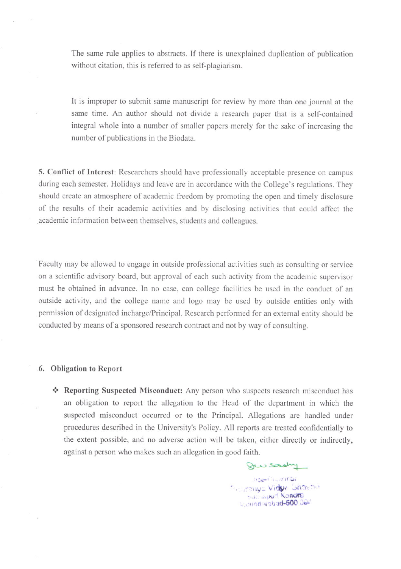The same rule applies to abstracts. If there is unexplained duplication of publication without citation, this is referred to as sclf-plagiarism.

It is improper to submit same manuscript for review by more than one joumal at the same time. An author should not divide a research paper that is a self-contained integral whole into a number of smaller papers merely for the sake of increasing the number of publications in the Biodata.

5. Conflict of Interest: Researchers should have professionally acceptable presence on campus during each semester. Holidays and leave are in accordance with the College's regulations. They should create an atmosphere of academic freedom by promoting the open and timely disclosure of the results of their academic activities and by disclosing activities that could affect the academic information between themselves, students and colleagues.

Faculty may be allowed to engage in outside professional activities such as consulting or service on a scientific advisory board, but approval of each such activity from lhe academic supervisor must be obtained in advance. In no case, can college facilities be used in the conduct of an outside activity, and the college name and logo may be used by outside entities only with permission of designated incharge/Principal. Research performed for an external entity should be conducted by means of a sponsored research contract and not by way of consulting.

#### 6. Obligation to Rcport

\* Reporting Suspected Misconduct: Any person who suspects research misconduct has an obligation to report the allegation to the Head of the department in which the suspected misconduct occurred or to the Principal. Allegations are handled under procedures described in the University's Policy. All reports are treated confidentially to the extent possible, and no adverse action will be taken, either directly or indirectly, against a person who makes such an allegation in good faith.

Que sastry

,nge-Chairman ' . .ranya Vidye Shavow ball inpurt Kandra .,aundersbad-500 06